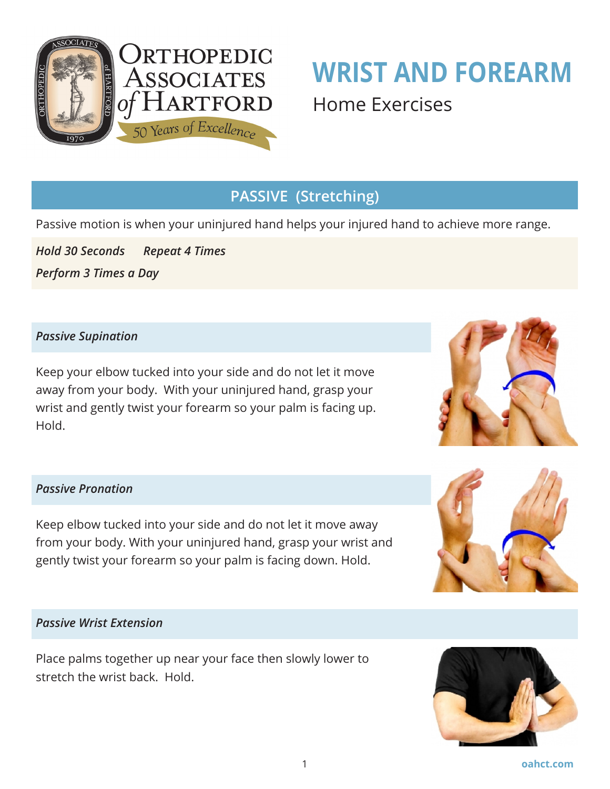

# **WRIST AND FOREARM**  Home Exercises

# **PASSIVE (Stretching)**

Passive motion is when your uninjured hand helps your injured hand to achieve more range.

*Hold 30 Seconds Repeat 4 Times Perform 3 Times a Day*

### *Passive Supination*

Keep your elbow tucked into your side and do not let it move away from your body. With your uninjured hand, grasp your wrist and gently twist your forearm so your palm is facing up. Hold.



### *Passive Pronation*

Keep elbow tucked into your side and do not let it move away from your body. With your uninjured hand, grasp your wrist and gently twist your forearm so your palm is facing down. Hold.



#### *Passive Wrist Extension*

Place palms together up near your face then slowly lower to stretch the wrist back. Hold.

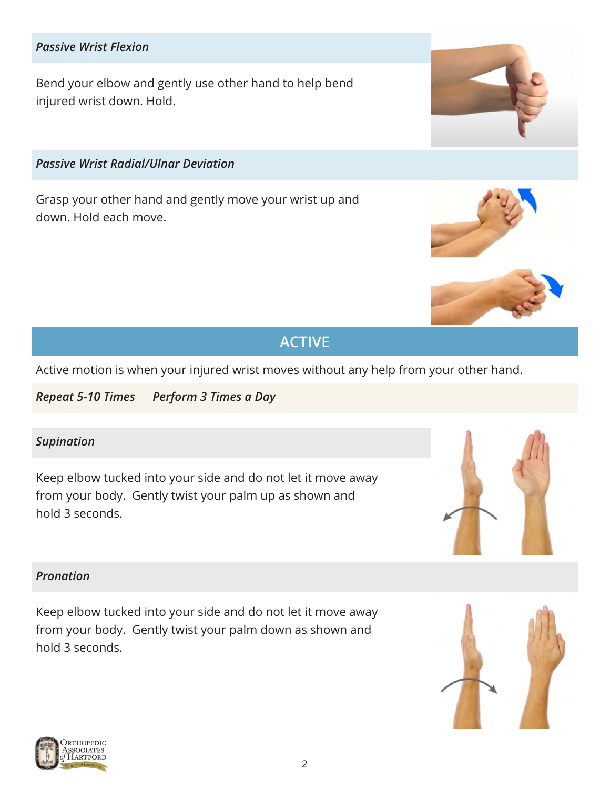### *Passive Wrist Flexion*

Bend your elbow and gently use other hand to help bend injured wrist down. Hold.

*Passive Wrist Radial/Ulnar Deviation*

Grasp your other hand and gently move your wrist up and down. Hold each move.

# **ACTIVE**

Active motion is when your injured wrist moves without any help from your other hand.

*Repeat 5-10 Times Perform 3 Times a Day*

### *Supination*

Keep elbow tucked into your side and do not let it move away from your body. Gently twist your palm up as shown and hold 3 seconds.

#### *Pronation*

Keep elbow tucked into your side and do not let it move away from your body. Gently twist your palm down as shown and hold 3 seconds.